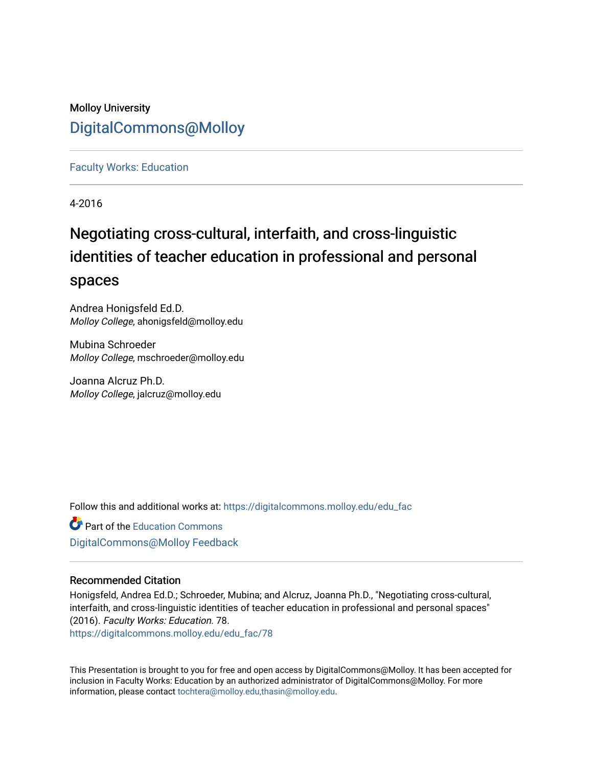## Molloy University [DigitalCommons@Molloy](https://digitalcommons.molloy.edu/)

### [Faculty Works: Education](https://digitalcommons.molloy.edu/edu_fac)

4-2016

# Negotiating cross-cultural, interfaith, and cross-linguistic identities of teacher education in professional and personal spaces

Andrea Honigsfeld Ed.D. Molloy College, ahonigsfeld@molloy.edu

Mubina Schroeder Molloy College, mschroeder@molloy.edu

Joanna Alcruz Ph.D. Molloy College, jalcruz@molloy.edu

Follow this and additional works at: [https://digitalcommons.molloy.edu/edu\\_fac](https://digitalcommons.molloy.edu/edu_fac?utm_source=digitalcommons.molloy.edu%2Fedu_fac%2F78&utm_medium=PDF&utm_campaign=PDFCoverPages)

**Part of the [Education Commons](https://network.bepress.com/hgg/discipline/784?utm_source=digitalcommons.molloy.edu%2Fedu_fac%2F78&utm_medium=PDF&utm_campaign=PDFCoverPages)** [DigitalCommons@Molloy Feedback](https://molloy.libwizard.com/f/dcfeedback)

## Recommended Citation

Honigsfeld, Andrea Ed.D.; Schroeder, Mubina; and Alcruz, Joanna Ph.D., "Negotiating cross-cultural, interfaith, and cross-linguistic identities of teacher education in professional and personal spaces" (2016). Faculty Works: Education. 78.

[https://digitalcommons.molloy.edu/edu\\_fac/78](https://digitalcommons.molloy.edu/edu_fac/78?utm_source=digitalcommons.molloy.edu%2Fedu_fac%2F78&utm_medium=PDF&utm_campaign=PDFCoverPages) 

This Presentation is brought to you for free and open access by DigitalCommons@Molloy. It has been accepted for inclusion in Faculty Works: Education by an authorized administrator of DigitalCommons@Molloy. For more information, please contact [tochtera@molloy.edu,thasin@molloy.edu.](mailto:tochtera@molloy.edu,thasin@molloy.edu)